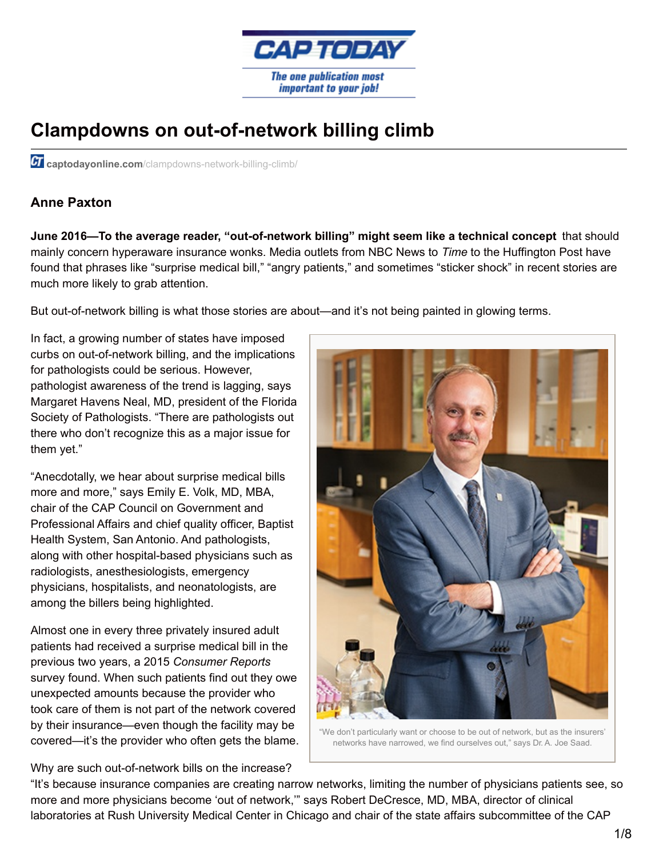

## **Clampdowns on out-of-network billing climb**

*CI* captodayonline.com[/clampdowns-network-billing-climb/](http://www.captodayonline.com/clampdowns-network-billing-climb/)

## **Anne Paxton**

**June 2016—To the average reader, "out-of-network billing" might seem like a technical concept** that should mainly concern hyperaware insurance wonks. Media outlets from NBC News to *Time* to the Huffington Post have found that phrases like "surprise medical bill," "angry patients," and sometimes "sticker shock" in recent stories are much more likely to grab attention.

But out-of-network billing is what those stories are about—and it's not being painted in glowing terms.

In fact, a growing number of states have imposed curbs on out-of-network billing, and the implications for pathologists could be serious. However, pathologist awareness of the trend is lagging, says Margaret Havens Neal, MD, president of the Florida Society of Pathologists. "There are pathologists out there who don't recognize this as a major issue for them yet."

"Anecdotally, we hear about surprise medical bills more and more," says Emily E. Volk, MD, MBA, chair of the CAP Council on Government and Professional Affairs and chief quality officer, Baptist Health System, San Antonio. And pathologists, along with other hospital-based physicians such as radiologists, anesthesiologists, emergency physicians, hospitalists, and neonatologists, are among the billers being highlighted.

Almost one in every three privately insured adult patients had received a surprise medical bill in the previous two years, a 2015 *Consumer Reports* survey found. When such patients find out they owe unexpected amounts because the provider who took care of them is not part of the network covered by their insurance—even though the facility may be covered—it's the provider who often gets the blame.





"We don't particularly want or choose to be out of network, but as the insurers' networks have narrowed, we find ourselves out," says Dr. A. Joe Saad.

"It's because insurance companies are creating narrow networks, limiting the number of physicians patients see, so more and more physicians become 'out of network,'" says Robert DeCresce, MD, MBA, director of clinical laboratories at Rush University Medical Center in Chicago and chair of the state affairs subcommittee of the CAP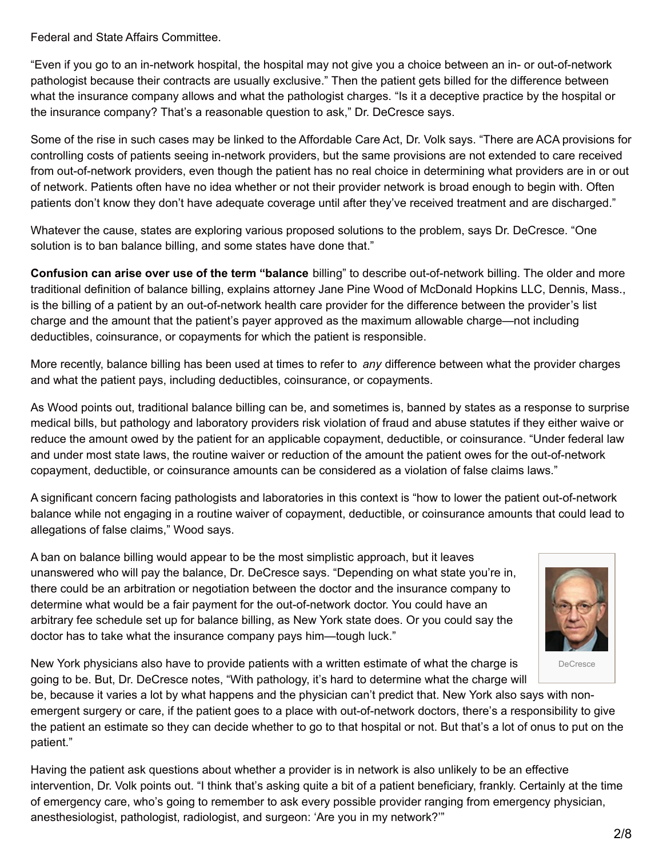Federal and State Affairs Committee.

"Even if you go to an in-network hospital, the hospital may not give you a choice between an in- or out-of-network pathologist because their contracts are usually exclusive." Then the patient gets billed for the difference between what the insurance company allows and what the pathologist charges. "Is it a deceptive practice by the hospital or the insurance company? That's a reasonable question to ask," Dr. DeCresce says.

Some of the rise in such cases may be linked to the Affordable Care Act, Dr. Volk says. "There are ACA provisions for controlling costs of patients seeing in-network providers, but the same provisions are not extended to care received from out-of-network providers, even though the patient has no real choice in determining what providers are in or out of network. Patients often have no idea whether or not their provider network is broad enough to begin with. Often patients don't know they don't have adequate coverage until after they've received treatment and are discharged."

Whatever the cause, states are exploring various proposed solutions to the problem, says Dr. DeCresce. "One solution is to ban balance billing, and some states have done that."

**Confusion can arise over use of the term "balance** billing" to describe out-of-network billing. The older and more traditional definition of balance billing, explains attorney Jane Pine Wood of McDonald Hopkins LLC, Dennis, Mass., is the billing of a patient by an out-of-network health care provider for the difference between the provider's list charge and the amount that the patient's payer approved as the maximum allowable charge—not including deductibles, coinsurance, or copayments for which the patient is responsible.

More recently, balance billing has been used at times to refer to *any* difference between what the provider charges and what the patient pays, including deductibles, coinsurance, or copayments.

As Wood points out, traditional balance billing can be, and sometimes is, banned by states as a response to surprise medical bills, but pathology and laboratory providers risk violation of fraud and abuse statutes if they either waive or reduce the amount owed by the patient for an applicable copayment, deductible, or coinsurance. "Under federal law and under most state laws, the routine waiver or reduction of the amount the patient owes for the out-of-network copayment, deductible, or coinsurance amounts can be considered as a violation of false claims laws."

A significant concern facing pathologists and laboratories in this context is "how to lower the patient out-of-network balance while not engaging in a routine waiver of copayment, deductible, or coinsurance amounts that could lead to allegations of false claims," Wood says.

A ban on balance billing would appear to be the most simplistic approach, but it leaves unanswered who will pay the balance, Dr. DeCresce says. "Depending on what state you're in, there could be an arbitration or negotiation between the doctor and the insurance company to determine what would be a fair payment for the out-of-network doctor. You could have an arbitrary fee schedule set up for balance billing, as New York state does. Or you could say the doctor has to take what the insurance company pays him—tough luck."



New York physicians also have to provide patients with a written estimate of what the charge is going to be. But, Dr. DeCresce notes, "With pathology, it's hard to determine what the charge will

be, because it varies a lot by what happens and the physician can't predict that. New York also says with nonemergent surgery or care, if the patient goes to a place with out-of-network doctors, there's a responsibility to give the patient an estimate so they can decide whether to go to that hospital or not. But that's a lot of onus to put on the patient."

Having the patient ask questions about whether a provider is in network is also unlikely to be an effective intervention, Dr. Volk points out. "I think that's asking quite a bit of a patient beneficiary, frankly. Certainly at the time of emergency care, who's going to remember to ask every possible provider ranging from emergency physician, anesthesiologist, pathologist, radiologist, and surgeon: 'Are you in my network?'"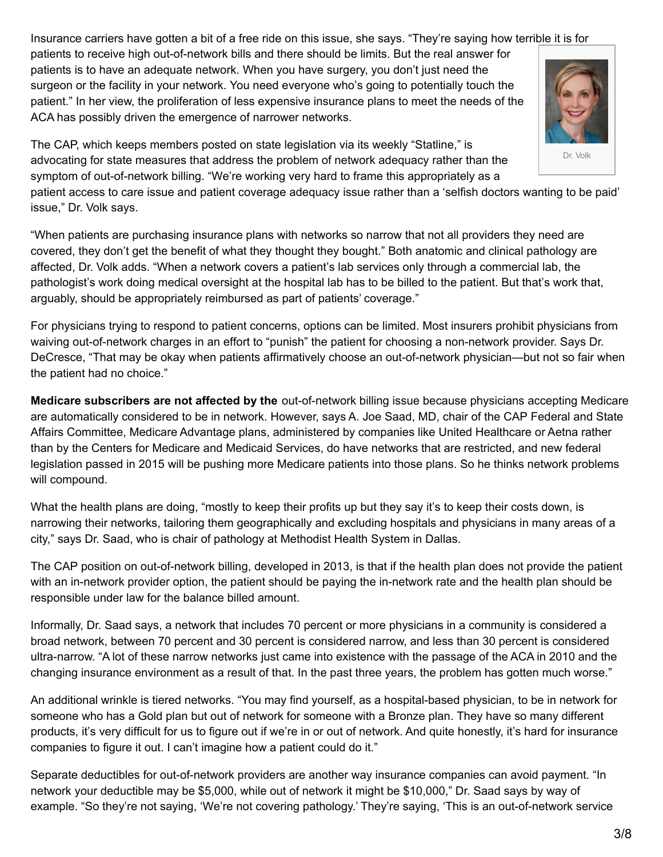Insurance carriers have gotten a bit of a free ride on this issue, she says. "They're saying how terrible it is for

patients to receive high out-of-network bills and there should be limits. But the real answer for patients is to have an adequate network. When you have surgery, you don't just need the surgeon or the facility in your network. You need everyone who's going to potentially touch the patient." In her view, the proliferation of less expensive insurance plans to meet the needs of the ACA has possibly driven the emergence of narrower networks.

Dr. Volk

The CAP, which keeps members posted on state legislation via its weekly "Statline," is advocating for state measures that address the problem of network adequacy rather than the symptom of out-of-network billing. "We're working very hard to frame this appropriately as a

patient access to care issue and patient coverage adequacy issue rather than a 'selfish doctors wanting to be paid' issue," Dr. Volk says.

"When patients are purchasing insurance plans with networks so narrow that not all providers they need are covered, they don't get the benefit of what they thought they bought." Both anatomic and clinical pathology are affected, Dr. Volk adds. "When a network covers a patient's lab services only through a commercial lab, the pathologist's work doing medical oversight at the hospital lab has to be billed to the patient. But that's work that, arguably, should be appropriately reimbursed as part of patients' coverage."

For physicians trying to respond to patient concerns, options can be limited. Most insurers prohibit physicians from waiving out-of-network charges in an effort to "punish" the patient for choosing a non-network provider. Says Dr. DeCresce, "That may be okay when patients affirmatively choose an out-of-network physician—but not so fair when the patient had no choice."

**Medicare subscribers are not affected by the** out-of-network billing issue because physicians accepting Medicare are automatically considered to be in network. However, says A. Joe Saad, MD, chair of the CAP Federal and State Affairs Committee, Medicare Advantage plans, administered by companies like United Healthcare or Aetna rather than by the Centers for Medicare and Medicaid Services, do have networks that are restricted, and new federal legislation passed in 2015 will be pushing more Medicare patients into those plans. So he thinks network problems will compound.

What the health plans are doing, "mostly to keep their profits up but they say it's to keep their costs down, is narrowing their networks, tailoring them geographically and excluding hospitals and physicians in many areas of a city," says Dr. Saad, who is chair of pathology at Methodist Health System in Dallas.

The CAP position on out-of-network billing, developed in 2013, is that if the health plan does not provide the patient with an in-network provider option, the patient should be paying the in-network rate and the health plan should be responsible under law for the balance billed amount.

Informally, Dr. Saad says, a network that includes 70 percent or more physicians in a community is considered a broad network, between 70 percent and 30 percent is considered narrow, and less than 30 percent is considered ultra-narrow. "A lot of these narrow networks just came into existence with the passage of the ACA in 2010 and the changing insurance environment as a result of that. In the past three years, the problem has gotten much worse."

An additional wrinkle is tiered networks. "You may find yourself, as a hospital-based physician, to be in network for someone who has a Gold plan but out of network for someone with a Bronze plan. They have so many different products, it's very difficult for us to figure out if we're in or out of network. And quite honestly, it's hard for insurance companies to figure it out. I can't imagine how a patient could do it."

Separate deductibles for out-of-network providers are another way insurance companies can avoid payment. "In network your deductible may be \$5,000, while out of network it might be \$10,000," Dr. Saad says by way of example. "So they're not saying, 'We're not covering pathology.' They're saying, 'This is an out-of-network service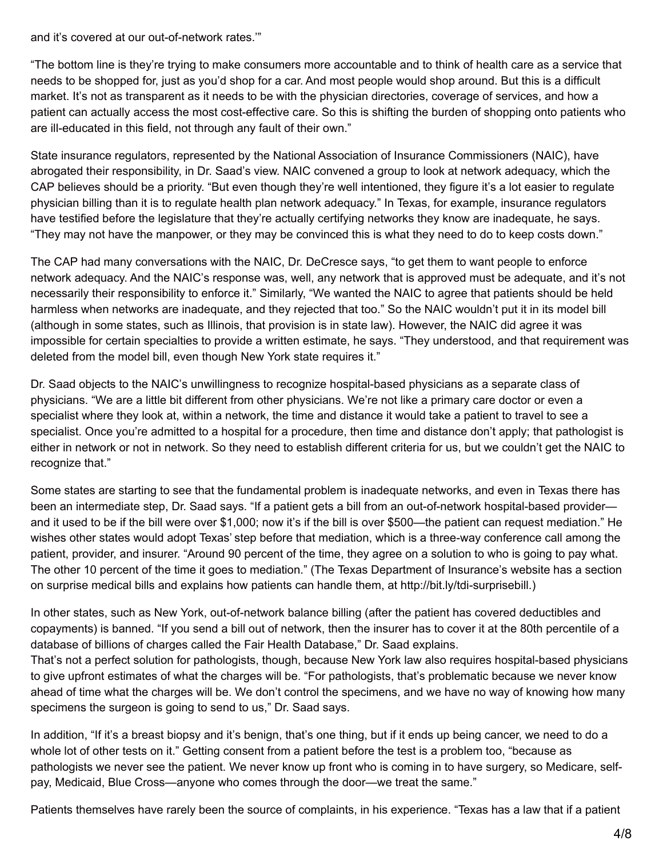and it's covered at our out-of-network rates.'"

"The bottom line is they're trying to make consumers more accountable and to think of health care as a service that needs to be shopped for, just as you'd shop for a car. And most people would shop around. But this is a difficult market. It's not as transparent as it needs to be with the physician directories, coverage of services, and how a patient can actually access the most cost-effective care. So this is shifting the burden of shopping onto patients who are ill-educated in this field, not through any fault of their own."

State insurance regulators, represented by the National Association of Insurance Commissioners (NAIC), have abrogated their responsibility, in Dr. Saad's view. NAIC convened a group to look at network adequacy, which the CAP believes should be a priority. "But even though they're well intentioned, they figure it's a lot easier to regulate physician billing than it is to regulate health plan network adequacy." In Texas, for example, insurance regulators have testified before the legislature that they're actually certifying networks they know are inadequate, he says. "They may not have the manpower, or they may be convinced this is what they need to do to keep costs down."

The CAP had many conversations with the NAIC, Dr. DeCresce says, "to get them to want people to enforce network adequacy. And the NAIC's response was, well, any network that is approved must be adequate, and it's not necessarily their responsibility to enforce it." Similarly, "We wanted the NAIC to agree that patients should be held harmless when networks are inadequate, and they rejected that too." So the NAIC wouldn't put it in its model bill (although in some states, such as Illinois, that provision is in state law). However, the NAIC did agree it was impossible for certain specialties to provide a written estimate, he says. "They understood, and that requirement was deleted from the model bill, even though New York state requires it."

Dr. Saad objects to the NAIC's unwillingness to recognize hospital-based physicians as a separate class of physicians. "We are a little bit different from other physicians. We're not like a primary care doctor or even a specialist where they look at, within a network, the time and distance it would take a patient to travel to see a specialist. Once you're admitted to a hospital for a procedure, then time and distance don't apply; that pathologist is either in network or not in network. So they need to establish different criteria for us, but we couldn't get the NAIC to recognize that."

Some states are starting to see that the fundamental problem is inadequate networks, and even in Texas there has been an intermediate step, Dr. Saad says. "If a patient gets a bill from an out-of-network hospital-based provider and it used to be if the bill were over \$1,000; now it's if the bill is over \$500—the patient can request mediation." He wishes other states would adopt Texas' step before that mediation, which is a three-way conference call among the patient, provider, and insurer. "Around 90 percent of the time, they agree on a solution to who is going to pay what. The other 10 percent of the time it goes to mediation." (The Texas Department of Insurance's website has a section on surprise medical bills and explains how patients can handle them, at http://bit.ly/tdi-surprisebill.)

In other states, such as New York, out-of-network balance billing (after the patient has covered deductibles and copayments) is banned. "If you send a bill out of network, then the insurer has to cover it at the 80th percentile of a database of billions of charges called the Fair Health Database," Dr. Saad explains.

That's not a perfect solution for pathologists, though, because New York law also requires hospital-based physicians to give upfront estimates of what the charges will be. "For pathologists, that's problematic because we never know ahead of time what the charges will be. We don't control the specimens, and we have no way of knowing how many specimens the surgeon is going to send to us," Dr. Saad says.

In addition, "If it's a breast biopsy and it's benign, that's one thing, but if it ends up being cancer, we need to do a whole lot of other tests on it." Getting consent from a patient before the test is a problem too, "because as pathologists we never see the patient. We never know up front who is coming in to have surgery, so Medicare, selfpay, Medicaid, Blue Cross—anyone who comes through the door—we treat the same."

Patients themselves have rarely been the source of complaints, in his experience. "Texas has a law that if a patient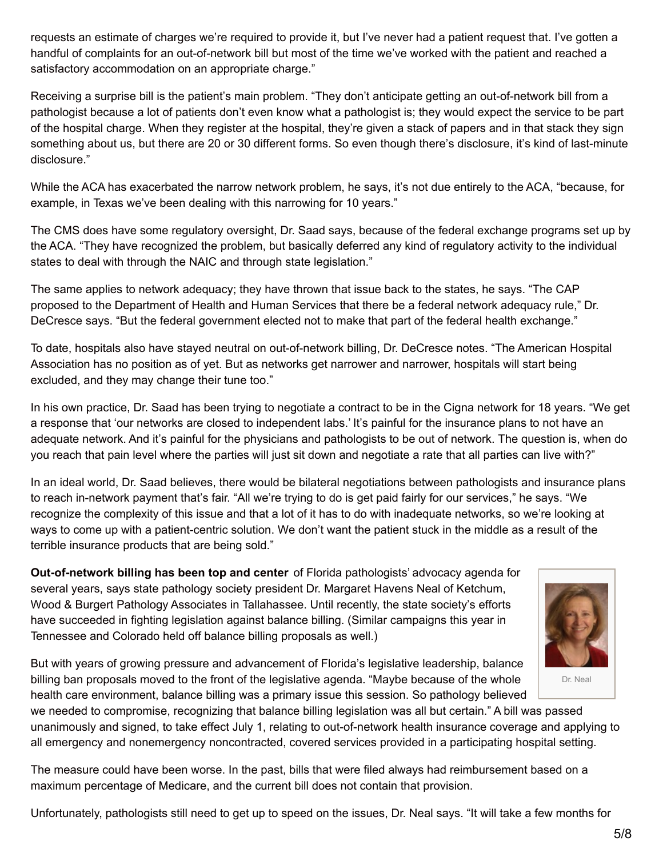requests an estimate of charges we're required to provide it, but I've never had a patient request that. I've gotten a handful of complaints for an out-of-network bill but most of the time we've worked with the patient and reached a satisfactory accommodation on an appropriate charge."

Receiving a surprise bill is the patient's main problem. "They don't anticipate getting an out-of-network bill from a pathologist because a lot of patients don't even know what a pathologist is; they would expect the service to be part of the hospital charge. When they register at the hospital, they're given a stack of papers and in that stack they sign something about us, but there are 20 or 30 different forms. So even though there's disclosure, it's kind of last-minute disclosure."

While the ACA has exacerbated the narrow network problem, he says, it's not due entirely to the ACA, "because, for example, in Texas we've been dealing with this narrowing for 10 years."

The CMS does have some regulatory oversight, Dr. Saad says, because of the federal exchange programs set up by the ACA. "They have recognized the problem, but basically deferred any kind of regulatory activity to the individual states to deal with through the NAIC and through state legislation."

The same applies to network adequacy; they have thrown that issue back to the states, he says. "The CAP proposed to the Department of Health and Human Services that there be a federal network adequacy rule," Dr. DeCresce says. "But the federal government elected not to make that part of the federal health exchange."

To date, hospitals also have stayed neutral on out-of-network billing, Dr. DeCresce notes. "The American Hospital Association has no position as of yet. But as networks get narrower and narrower, hospitals will start being excluded, and they may change their tune too."

In his own practice, Dr. Saad has been trying to negotiate a contract to be in the Cigna network for 18 years. "We get a response that 'our networks are closed to independent labs.' It's painful for the insurance plans to not have an adequate network. And it's painful for the physicians and pathologists to be out of network. The question is, when do you reach that pain level where the parties will just sit down and negotiate a rate that all parties can live with?"

In an ideal world, Dr. Saad believes, there would be bilateral negotiations between pathologists and insurance plans to reach in-network payment that's fair. "All we're trying to do is get paid fairly for our services," he says. "We recognize the complexity of this issue and that a lot of it has to do with inadequate networks, so we're looking at ways to come up with a patient-centric solution. We don't want the patient stuck in the middle as a result of the terrible insurance products that are being sold."

**Out-of-network billing has been top and center** of Florida pathologists' advocacy agenda for several years, says state pathology society president Dr. Margaret Havens Neal of Ketchum, Wood & Burgert Pathology Associates in Tallahassee. Until recently, the state society's efforts have succeeded in fighting legislation against balance billing. (Similar campaigns this year in Tennessee and Colorado held off balance billing proposals as well.)

But with years of growing pressure and advancement of Florida's legislative leadership, balance billing ban proposals moved to the front of the legislative agenda. "Maybe because of the whole health care environment, balance billing was a primary issue this session. So pathology believed

we needed to compromise, recognizing that balance billing legislation was all but certain." A bill was passed unanimously and signed, to take effect July 1, relating to out-of-network health insurance coverage and applying to all emergency and nonemergency noncontracted, covered services provided in a participating hospital setting.

The measure could have been worse. In the past, bills that were filed always had reimbursement based on a maximum percentage of Medicare, and the current bill does not contain that provision.

Unfortunately, pathologists still need to get up to speed on the issues, Dr. Neal says. "It will take a few months for

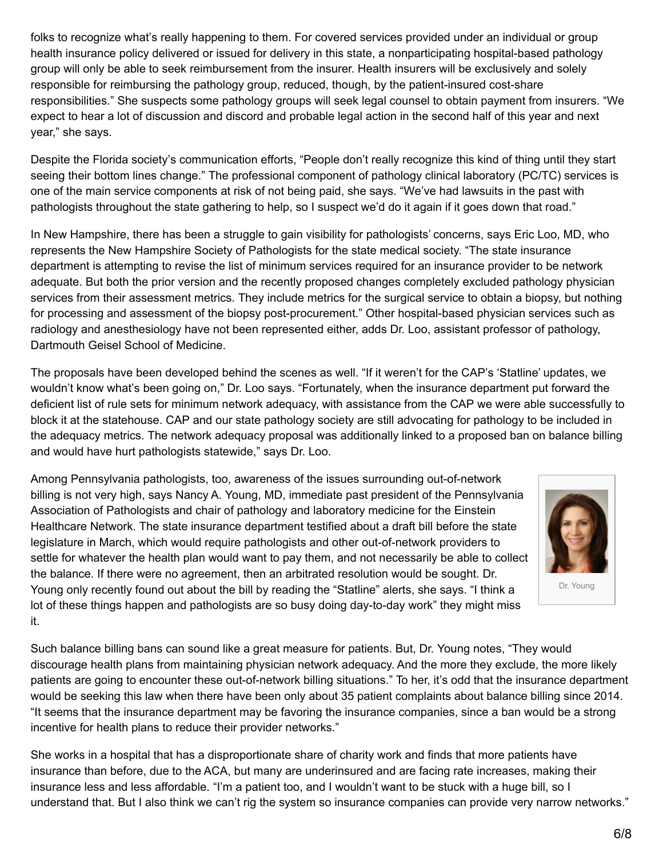folks to recognize what's really happening to them. For covered services provided under an individual or group health insurance policy delivered or issued for delivery in this state, a nonparticipating hospital-based pathology group will only be able to seek reimbursement from the insurer. Health insurers will be exclusively and solely responsible for reimbursing the pathology group, reduced, though, by the patient-insured cost-share responsibilities." She suspects some pathology groups will seek legal counsel to obtain payment from insurers. "We expect to hear a lot of discussion and discord and probable legal action in the second half of this year and next year," she says.

Despite the Florida society's communication efforts, "People don't really recognize this kind of thing until they start seeing their bottom lines change." The professional component of pathology clinical laboratory (PC/TC) services is one of the main service components at risk of not being paid, she says. "We've had lawsuits in the past with pathologists throughout the state gathering to help, so I suspect we'd do it again if it goes down that road."

In New Hampshire, there has been a struggle to gain visibility for pathologists' concerns, says Eric Loo, MD, who represents the New Hampshire Society of Pathologists for the state medical society. "The state insurance department is attempting to revise the list of minimum services required for an insurance provider to be network adequate. But both the prior version and the recently proposed changes completely excluded pathology physician services from their assessment metrics. They include metrics for the surgical service to obtain a biopsy, but nothing for processing and assessment of the biopsy post-procurement." Other hospital-based physician services such as radiology and anesthesiology have not been represented either, adds Dr. Loo, assistant professor of pathology, Dartmouth Geisel School of Medicine.

The proposals have been developed behind the scenes as well. "If it weren't for the CAP's 'Statline' updates, we wouldn't know what's been going on," Dr. Loo says. "Fortunately, when the insurance department put forward the deficient list of rule sets for minimum network adequacy, with assistance from the CAP we were able successfully to block it at the statehouse. CAP and our state pathology society are still advocating for pathology to be included in the adequacy metrics. The network adequacy proposal was additionally linked to a proposed ban on balance billing and would have hurt pathologists statewide," says Dr. Loo.

Among Pennsylvania pathologists, too, awareness of the issues surrounding out-of-network billing is not very high, says Nancy A. Young, MD, immediate past president of the Pennsylvania Association of Pathologists and chair of pathology and laboratory medicine for the Einstein Healthcare Network. The state insurance department testified about a draft bill before the state legislature in March, which would require pathologists and other out-of-network providers to settle for whatever the health plan would want to pay them, and not necessarily be able to collect the balance. If there were no agreement, then an arbitrated resolution would be sought. Dr. Young only recently found out about the bill by reading the "Statline" alerts, she says. "I think a lot of these things happen and pathologists are so busy doing day-to-day work" they might miss it.



Such balance billing bans can sound like a great measure for patients. But, Dr. Young notes, "They would discourage health plans from maintaining physician network adequacy. And the more they exclude, the more likely patients are going to encounter these out-of-network billing situations." To her, it's odd that the insurance department would be seeking this law when there have been only about 35 patient complaints about balance billing since 2014. "It seems that the insurance department may be favoring the insurance companies, since a ban would be a strong incentive for health plans to reduce their provider networks."

She works in a hospital that has a disproportionate share of charity work and finds that more patients have insurance than before, due to the ACA, but many are underinsured and are facing rate increases, making their insurance less and less affordable. "I'm a patient too, and I wouldn't want to be stuck with a huge bill, so I understand that. But I also think we can't rig the system so insurance companies can provide very narrow networks."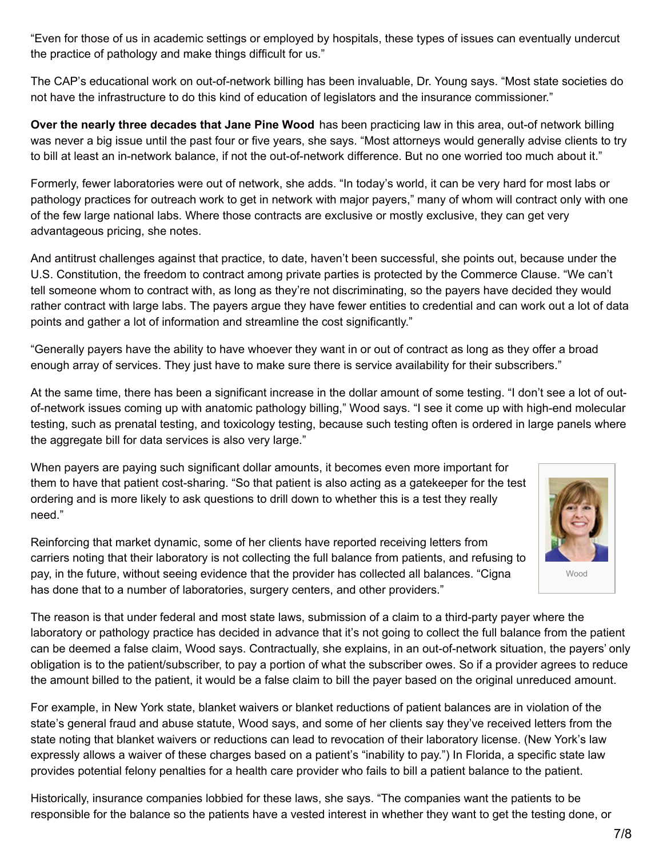"Even for those of us in academic settings or employed by hospitals, these types of issues can eventually undercut the practice of pathology and make things difficult for us."

The CAP's educational work on out-of-network billing has been invaluable, Dr. Young says. "Most state societies do not have the infrastructure to do this kind of education of legislators and the insurance commissioner."

**Over the nearly three decades that Jane Pine Wood** has been practicing law in this area, out-of network billing was never a big issue until the past four or five years, she says. "Most attorneys would generally advise clients to try to bill at least an in-network balance, if not the out-of-network difference. But no one worried too much about it."

Formerly, fewer laboratories were out of network, she adds. "In today's world, it can be very hard for most labs or pathology practices for outreach work to get in network with major payers," many of whom will contract only with one of the few large national labs. Where those contracts are exclusive or mostly exclusive, they can get very advantageous pricing, she notes.

And antitrust challenges against that practice, to date, haven't been successful, she points out, because under the U.S. Constitution, the freedom to contract among private parties is protected by the Commerce Clause. "We can't tell someone whom to contract with, as long as they're not discriminating, so the payers have decided they would rather contract with large labs. The payers argue they have fewer entities to credential and can work out a lot of data points and gather a lot of information and streamline the cost significantly."

"Generally payers have the ability to have whoever they want in or out of contract as long as they offer a broad enough array of services. They just have to make sure there is service availability for their subscribers."

At the same time, there has been a significant increase in the dollar amount of some testing. "I don't see a lot of outof-network issues coming up with anatomic pathology billing," Wood says. "I see it come up with high-end molecular testing, such as prenatal testing, and toxicology testing, because such testing often is ordered in large panels where the aggregate bill for data services is also very large."

When payers are paying such significant dollar amounts, it becomes even more important for them to have that patient cost-sharing. "So that patient is also acting as a gatekeeper for the test ordering and is more likely to ask questions to drill down to whether this is a test they really need."



Reinforcing that market dynamic, some of her clients have reported receiving letters from carriers noting that their laboratory is not collecting the full balance from patients, and refusing to pay, in the future, without seeing evidence that the provider has collected all balances. "Cigna has done that to a number of laboratories, surgery centers, and other providers."

The reason is that under federal and most state laws, submission of a claim to a third-party payer where the laboratory or pathology practice has decided in advance that it's not going to collect the full balance from the patient can be deemed a false claim, Wood says. Contractually, she explains, in an out-of-network situation, the payers' only obligation is to the patient/subscriber, to pay a portion of what the subscriber owes. So if a provider agrees to reduce the amount billed to the patient, it would be a false claim to bill the payer based on the original unreduced amount.

For example, in New York state, blanket waivers or blanket reductions of patient balances are in violation of the state's general fraud and abuse statute, Wood says, and some of her clients say they've received letters from the state noting that blanket waivers or reductions can lead to revocation of their laboratory license. (New York's law expressly allows a waiver of these charges based on a patient's "inability to pay.") In Florida, a specific state law provides potential felony penalties for a health care provider who fails to bill a patient balance to the patient.

Historically, insurance companies lobbied for these laws, she says. "The companies want the patients to be responsible for the balance so the patients have a vested interest in whether they want to get the testing done, or